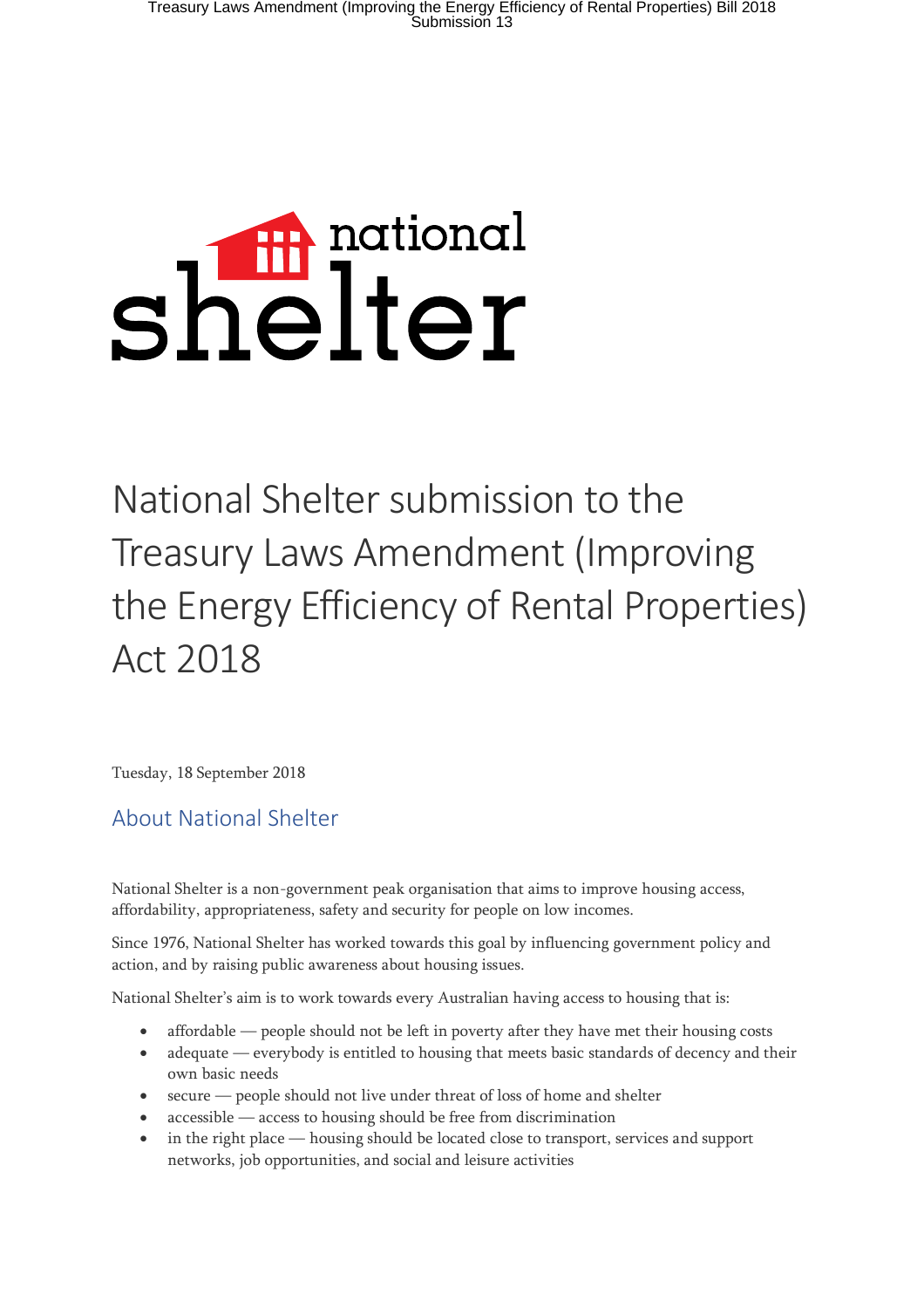# shelter

National Shelter submission to the Treasury Laws Amendment (Improving the Energy Efficiency of Rental Properties) Act 2018

Tuesday, 18 September 2018

## About National Shelter

National Shelter is a non-government peak organisation that aims to improve housing access, affordability, appropriateness, safety and security for people on low incomes.

Since 1976, National Shelter has worked towards this goal by influencing government policy and action, and by raising public awareness about housing issues.

National Shelter's aim is to work towards every Australian having access to housing that is:

- affordable people should not be left in poverty after they have met their housing costs
- adequate everybody is entitled to housing that meets basic standards of decency and their own basic needs
- secure people should not live under threat of loss of home and shelter
- accessible access to housing should be free from discrimination
- in the right place housing should be located close to transport, services and support networks, job opportunities, and social and leisure activities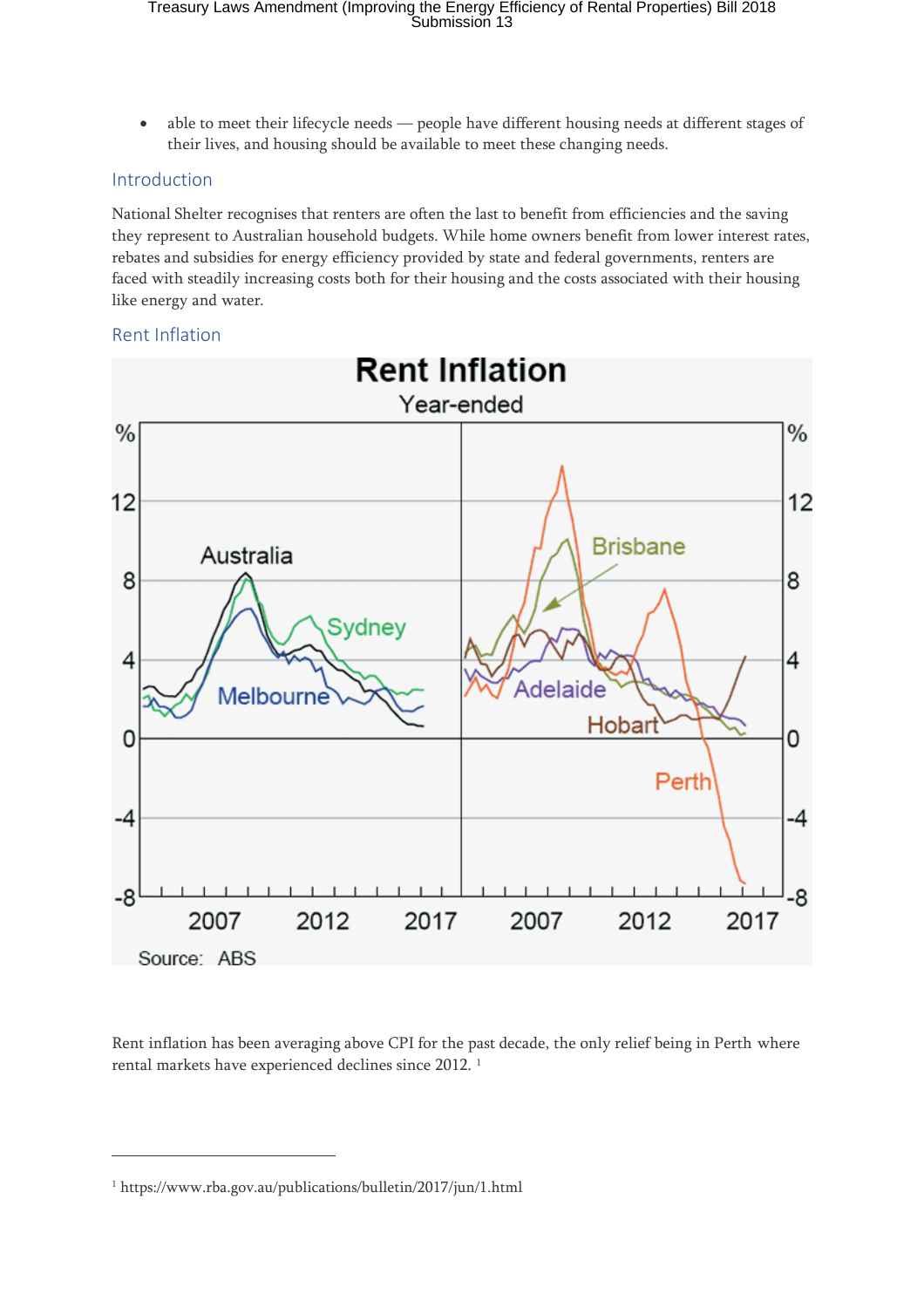• able to meet their lifecycle needs — people have different housing needs at different stages of their lives, and housing should be available to meet these changing needs.

### Introduction

National Shelter recognises that renters are often the last to benefit from efficiencies and the saving they represent to Australian household budgets. While home owners benefit from lower interest rates, rebates and subsidies for energy efficiency provided by state and federal governments, renters are faced with steadily increasing costs both for their housing and the costs associated with their housing like energy and water.

### Rent Inflation



Rent inflation has been averaging above CPI for the past decade, the only relief being in Perth where rental markets have experienced declines since 2012. <sup>1</sup>

 $\overline{a}$ 

<sup>1</sup> https://www.rba.gov.au/publications/bulletin/2017/jun/1.html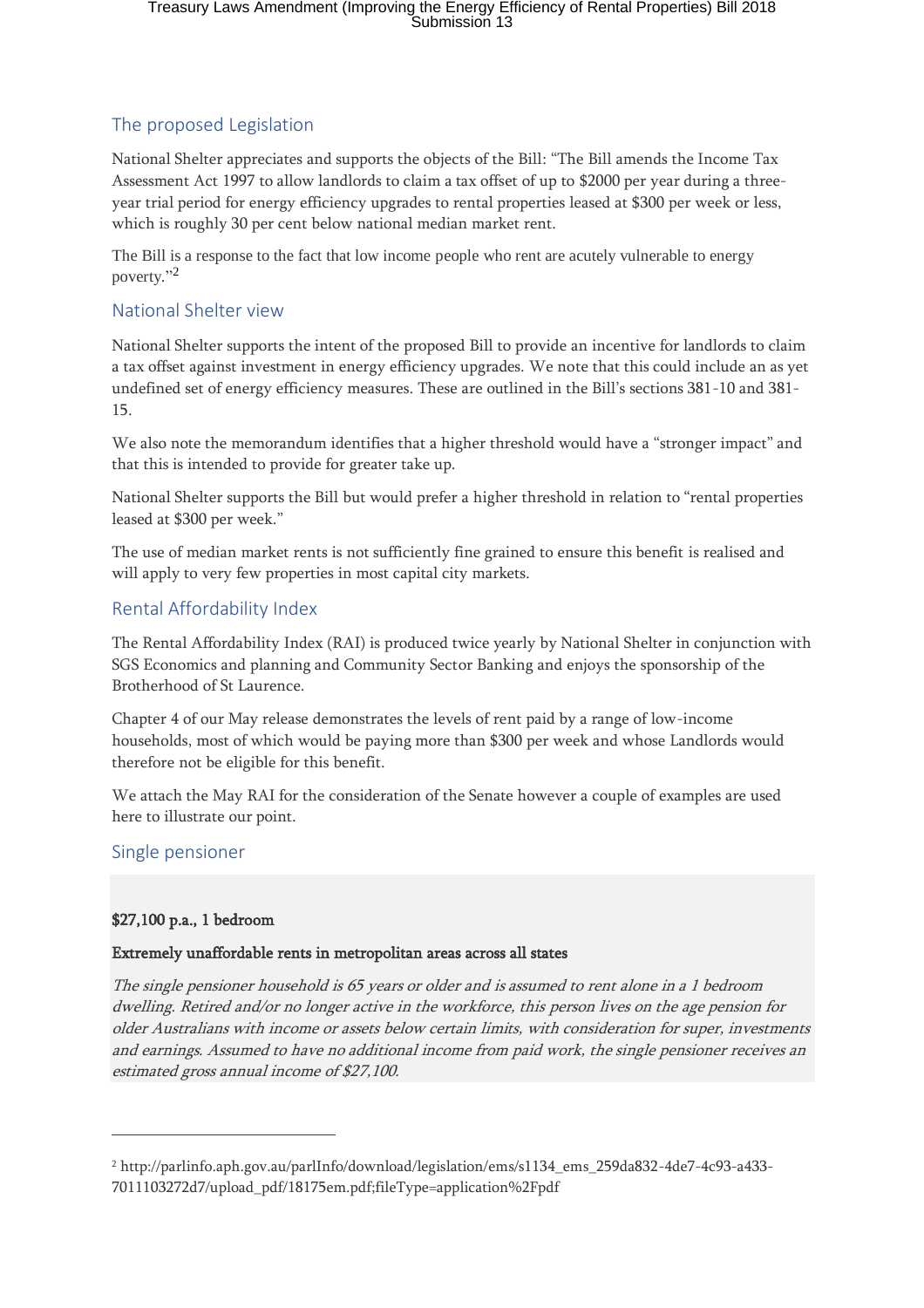### The proposed Legislation

National Shelter appreciates and supports the objects of the Bill: "The Bill amends the Income Tax Assessment Act 1997 to allow landlords to claim a tax offset of up to \$2000 per year during a threeyear trial period for energy efficiency upgrades to rental properties leased at \$300 per week or less, which is roughly 30 per cent below national median market rent.

The Bill is a response to the fact that low income people who rent are acutely vulnerable to energy poverty." 2

### National Shelter view

National Shelter supports the intent of the proposed Bill to provide an incentive for landlords to claim a tax offset against investment in energy efficiency upgrades. We note that this could include an as yet undefined set of energy efficiency measures. These are outlined in the Bill's sections 381-10 and 381- 15.

We also note the memorandum identifies that a higher threshold would have a "stronger impact" and that this is intended to provide for greater take up.

National Shelter supports the Bill but would prefer a higher threshold in relation to "rental properties leased at \$300 per week."

The use of median market rents is not sufficiently fine grained to ensure this benefit is realised and will apply to very few properties in most capital city markets.

### Rental Affordability Index

The Rental Affordability Index (RAI) is produced twice yearly by National Shelter in conjunction with SGS Economics and planning and Community Sector Banking and enjoys the sponsorship of the Brotherhood of St Laurence.

Chapter 4 of our May release demonstrates the levels of rent paid by a range of low-income households, most of which would be paying more than \$300 per week and whose Landlords would therefore not be eligible for this benefit.

We attach the May RAI for the consideration of the Senate however a couple of examples are used here to illustrate our point.

### Single pensioner

 $\overline{a}$ 

### \$27,100 p.a., 1 bedroom

### Extremely unaffordable rents in metropolitan areas across all states

The single pensioner household is 65 years or older and is assumed to rent alone in a 1 bedroom dwelling. Retired and/or no longer active in the workforce, this person lives on the age pension for older Australians with income or assets below certain limits, with consideration for super, investments and earnings. Assumed to have no additional income from paid work, the single pensioner receives an estimated gross annual income of \$27,100.

<sup>2</sup> http://parlinfo.aph.gov.au/parlInfo/download/legislation/ems/s1134\_ems\_259da832-4de7-4c93-a433- 7011103272d7/upload\_pdf/18175em.pdf;fileType=application%2Fpdf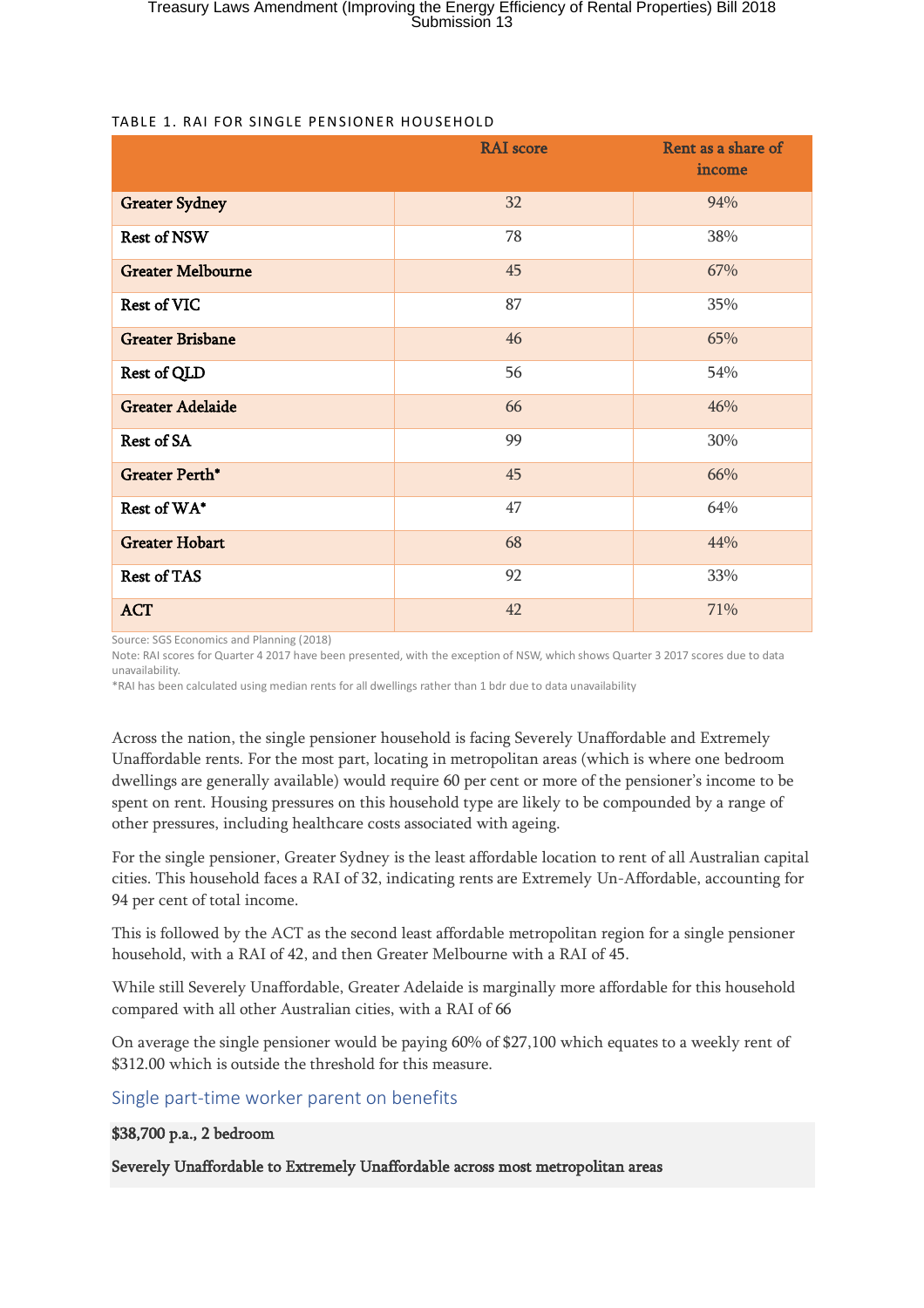|                          | <b>RAI</b> score<br>Rent as a share of<br>income |     |  |
|--------------------------|--------------------------------------------------|-----|--|
| <b>Greater Sydney</b>    | 32                                               | 94% |  |
| <b>Rest of NSW</b>       | 78                                               | 38% |  |
| <b>Greater Melbourne</b> | 45                                               | 67% |  |
| <b>Rest of VIC</b>       | 87                                               | 35% |  |
| <b>Greater Brisbane</b>  | 46                                               | 65% |  |
| Rest of QLD              | 56                                               | 54% |  |
| <b>Greater Adelaide</b>  | 66                                               | 46% |  |
| Rest of SA               | 99                                               | 30% |  |
| <b>Greater Perth*</b>    | 45                                               | 66% |  |
| Rest of WA*              | 47                                               | 64% |  |
| <b>Greater Hobart</b>    | 68                                               | 44% |  |
| <b>Rest of TAS</b>       | 92                                               | 33% |  |
| <b>ACT</b>               | 42                                               | 71% |  |

### TABLE 1. RAI FOR SINGLE PENSIONER HOUSEHOLD

Source: SGS Economics and Planning (2018)

Note: RAI scores for Quarter 4 2017 have been presented, with the exception of NSW, which shows Quarter 3 2017 scores due to data unavailability.

\*RAI has been calculated using median rents for all dwellings rather than 1 bdr due to data unavailability

Across the nation, the single pensioner household is facing Severely Unaffordable and Extremely Unaffordable rents. For the most part, locating in metropolitan areas (which is where one bedroom dwellings are generally available) would require 60 per cent or more of the pensioner's income to be spent on rent. Housing pressures on this household type are likely to be compounded by a range of other pressures, including healthcare costs associated with ageing.

For the single pensioner, Greater Sydney is the least affordable location to rent of all Australian capital cities. This household faces a RAI of 32, indicating rents are Extremely Un-Affordable, accounting for 94 per cent of total income.

This is followed by the ACT as the second least affordable metropolitan region for a single pensioner household, with a RAI of 42, and then Greater Melbourne with a RAI of 45.

While still Severely Unaffordable, Greater Adelaide is marginally more affordable for this household compared with all other Australian cities, with a RAI of 66

On average the single pensioner would be paying 60% of \$27,100 which equates to a weekly rent of \$312.00 which is outside the threshold for this measure.

### Single part-time worker parent on benefits

### \$38,700 p.a., 2 bedroom

Severely Unaffordable to Extremely Unaffordable across most metropolitan areas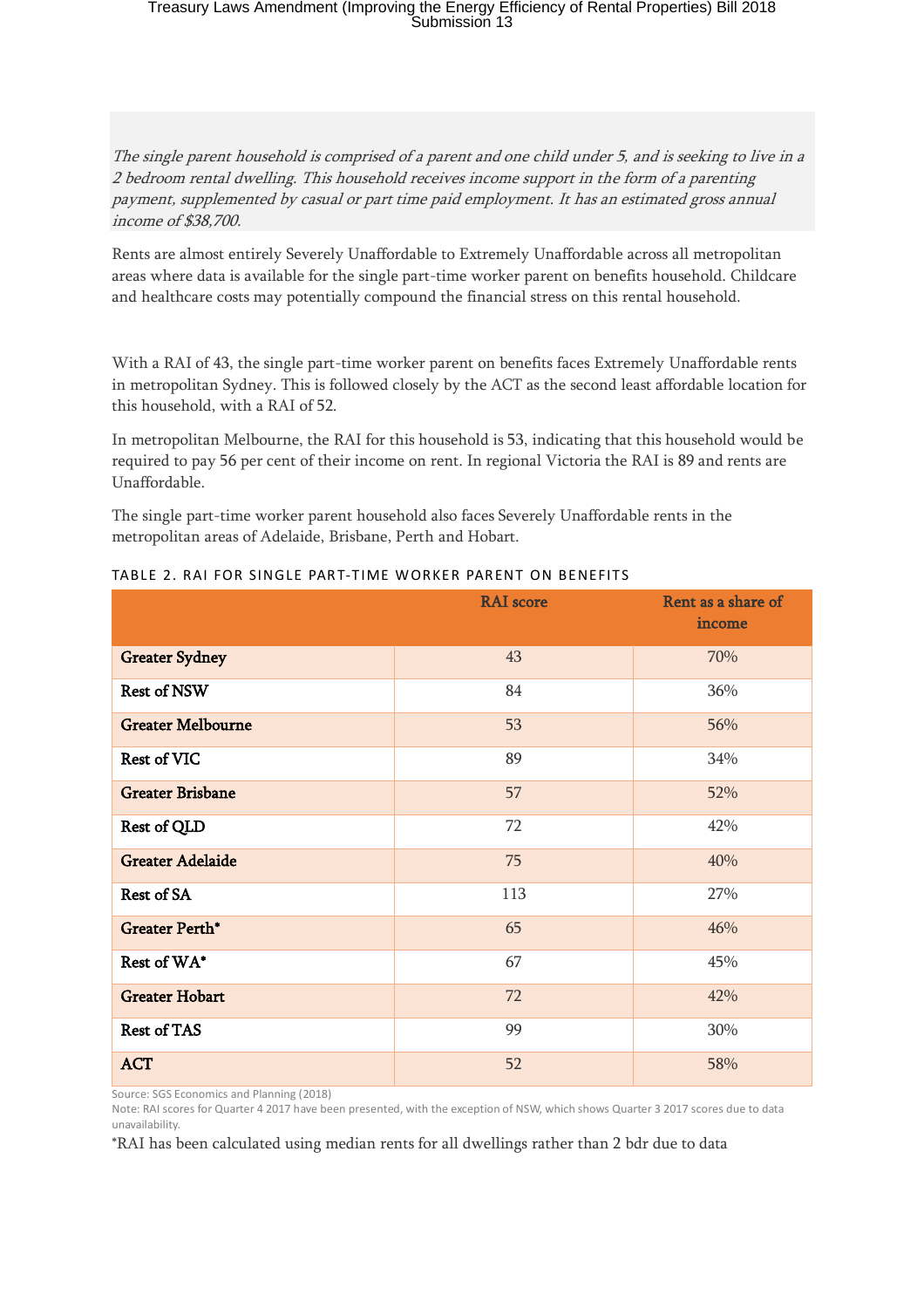The single parent household is comprised of a parent and one child under 5, and is seeking to live in <sup>a</sup> 2 bedroom rental dwelling. This household receives income support in the form of a parenting payment, supplemented by casual or part time paid employment. It has an estimated gross annual income of \$38,700.

Rents are almost entirely Severely Unaffordable to Extremely Unaffordable across all metropolitan areas where data is available for the single part-time worker parent on benefits household. Childcare and healthcare costs may potentially compound the financial stress on this rental household.

With a RAI of 43, the single part-time worker parent on benefits faces Extremely Unaffordable rents in metropolitan Sydney. This is followed closely by the ACT as the second least affordable location for this household, with a RAI of 52.

In metropolitan Melbourne, the RAI for this household is 53, indicating that this household would be required to pay 56 per cent of their income on rent. In regional Victoria the RAI is 89 and rents are Unaffordable.

The single part-time worker parent household also faces Severely Unaffordable rents in the metropolitan areas of Adelaide, Brisbane, Perth and Hobart.

|                          | <b>RAI</b> score | Rent as a share of<br>income |  |  |
|--------------------------|------------------|------------------------------|--|--|
| <b>Greater Sydney</b>    | 43               | 70%                          |  |  |
| <b>Rest of NSW</b>       | 84               | 36%                          |  |  |
| <b>Greater Melbourne</b> | 53               | 56%                          |  |  |
| <b>Rest of VIC</b>       | 89               | 34%                          |  |  |
| <b>Greater Brisbane</b>  | 57               | 52%                          |  |  |
| Rest of QLD              | 72               | 42%                          |  |  |
| <b>Greater Adelaide</b>  | 75               | 40%                          |  |  |
| Rest of SA               | 113              | 27%                          |  |  |
| <b>Greater Perth*</b>    | 65               | 46%                          |  |  |
| Rest of WA*              | 67               | 45%                          |  |  |
| <b>Greater Hobart</b>    | 72               | 42%                          |  |  |
| <b>Rest of TAS</b>       | 99               | 30%                          |  |  |
| <b>ACT</b>               | 52               | 58%                          |  |  |

| TABLE 2. RAI FOR SINGLE PART-TIME WORKER PARENT ON BENEFITS |  |  |  |
|-------------------------------------------------------------|--|--|--|

Source: SGS Economics and Planning (2018)

Note: RAI scores for Quarter 4 2017 have been presented, with the exception of NSW, which shows Quarter 3 2017 scores due to data unavailability.

\*RAI has been calculated using median rents for all dwellings rather than 2 bdr due to data